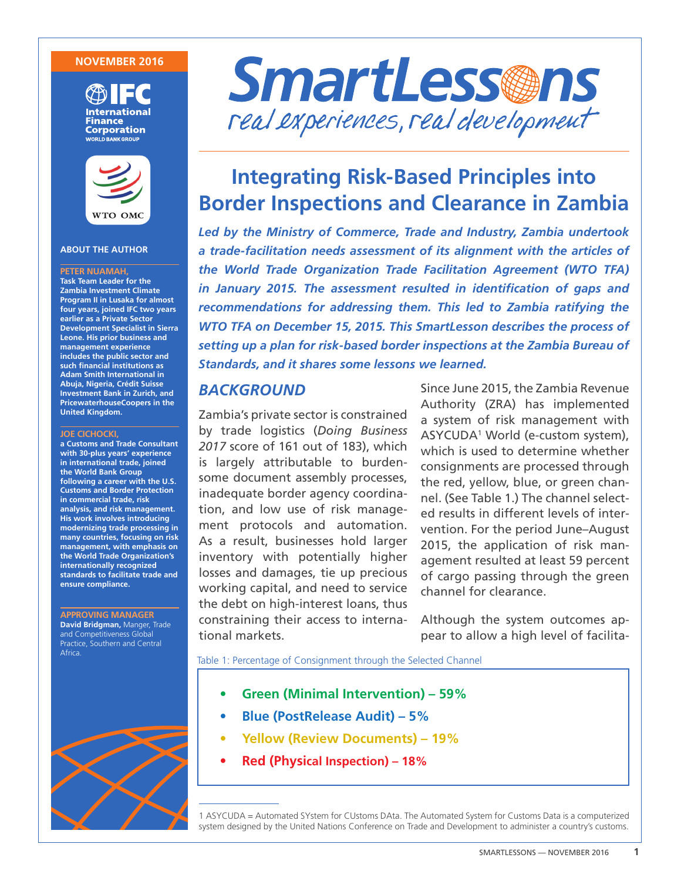### **NOVEMBER 2016**





### **ABOUT THE AUTHOR**

#### **PETER NUAMAH,**

**Task Team Leader for the Zambia Investment Climate Program II in Lusaka for almost four years, joined IFC two years earlier as a Private Sector Development Specialist in Sierra Leone. His prior business and management experience includes the public sector and such financial institutions as Adam Smith International in Abuja, Nigeria, Crédit Suisse Investment Bank in Zurich, and PricewaterhouseCoopers in the United Kingdom.**

#### **JOE CICHOCKI,**

**a Customs and Trade Consultant with 30-plus years' experience in international trade, joined the World Bank Group following a career with the U.S. Customs and Border Protection in commercial trade, risk analysis, and risk management. His work involves introducing modernizing trade processing in many countries, focusing on risk management, with emphasis on the World Trade Organization's internationally recognized standards to facilitate trade and ensure compliance.** 

### **APPROVING MANAGER**

**David Bridgman,** Manger, Trade and Competitiveness Global Practice, Southern and Central Africa.





# **Integrating Risk-Based Principles into Border Inspections and Clearance in Zambia**

*Led by the Ministry of Commerce, Trade and Industry, Zambia undertook a trade-facilitation needs assessment of its alignment with the articles of the World Trade Organization Trade Facilitation Agreement (WTO TFA) in January 2015. The assessment resulted in identification of gaps and recommendations for addressing them. This led to Zambia ratifying the WTO TFA on December 15, 2015. This SmartLesson describes the process of setting up a plan for risk-based border inspections at the Zambia Bureau of Standards, and it shares some lessons we learned.*

### *BACKGROUND*

Zambia's private sector is constrained by trade logistics (*Doing Business 2017* score of 161 out of 183), which is largely attributable to burdensome document assembly processes, inadequate border agency coordination, and low use of risk management protocols and automation. As a result, businesses hold larger inventory with potentially higher losses and damages, tie up precious working capital, and need to service the debt on high-interest loans, thus constraining their access to international markets.

Since June 2015, the Zambia Revenue Authority (ZRA) has implemented a system of risk management with ASYCUDA1 World (e-custom system), which is used to determine whether consignments are processed through the red, yellow, blue, or green channel. (See Table 1.) The channel selected results in different levels of intervention. For the period June–August 2015, the application of risk management resulted at least 59 percent of cargo passing through the green channel for clearance.

Although the system outcomes appear to allow a high level of facilita-

Table 1: Percentage of Consignment through the Selected Channel

- **• Green (Minimal Intervention) 59%**
- **• Blue (PostRelease Audit) 5%**
- **• Yellow (Review Documents) 19%**
- **• Red (Physical Inspection) 18%**

1 ASYCUDA = Automated SYstem for CUstoms DAta. The Automated System for Customs Data is a computerized system designed by the United Nations Conference on Trade and Development to administer a country's customs.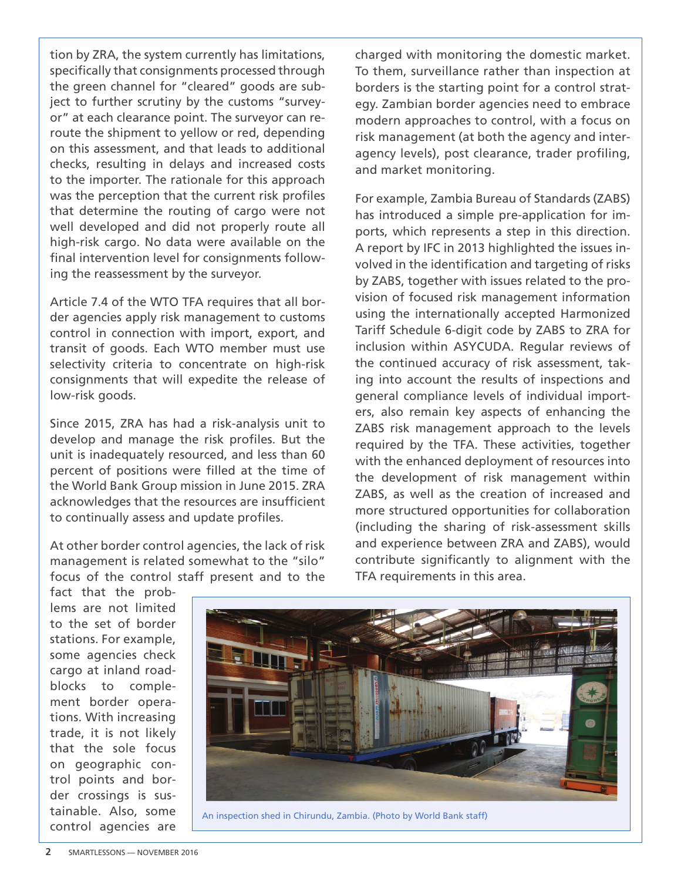tion by ZRA, the system currently has limitations, specifically that consignments processed through the green channel for "cleared" goods are subject to further scrutiny by the customs "surveyor" at each clearance point. The surveyor can reroute the shipment to yellow or red, depending on this assessment, and that leads to additional checks, resulting in delays and increased costs to the importer. The rationale for this approach was the perception that the current risk profiles that determine the routing of cargo were not well developed and did not properly route all high-risk cargo. No data were available on the final intervention level for consignments following the reassessment by the surveyor.

Article 7.4 of the WTO TFA requires that all border agencies apply risk management to customs control in connection with import, export, and transit of goods. Each WTO member must use selectivity criteria to concentrate on high-risk consignments that will expedite the release of low-risk goods.

Since 2015, ZRA has had a risk-analysis unit to develop and manage the risk profiles. But the unit is inadequately resourced, and less than 60 percent of positions were filled at the time of the World Bank Group mission in June 2015. ZRA acknowledges that the resources are insufficient to continually assess and update profiles.

At other border control agencies, the lack of risk management is related somewhat to the "silo" focus of the control staff present and to the charged with monitoring the domestic market. To them, surveillance rather than inspection at borders is the starting point for a control strategy. Zambian border agencies need to embrace modern approaches to control, with a focus on risk management (at both the agency and interagency levels), post clearance, trader profiling, and market monitoring.

For example, Zambia Bureau of Standards (ZABS) has introduced a simple pre-application for imports, which represents a step in this direction. A report by IFC in 2013 highlighted the issues involved in the identification and targeting of risks by ZABS, together with issues related to the provision of focused risk management information using the internationally accepted Harmonized Tariff Schedule 6-digit code by ZABS to ZRA for inclusion within ASYCUDA. Regular reviews of the continued accuracy of risk assessment, taking into account the results of inspections and general compliance levels of individual importers, also remain key aspects of enhancing the ZABS risk management approach to the levels required by the TFA. These activities, together with the enhanced deployment of resources into the development of risk management within ZABS, as well as the creation of increased and more structured opportunities for collaboration (including the sharing of risk-assessment skills and experience between ZRA and ZABS), would contribute significantly to alignment with the TFA requirements in this area.

fact that the problems are not limited to the set of border stations. For example, some agencies check cargo at inland roadblocks to complement border operations. With increasing trade, it is not likely that the sole focus on geographic control points and border crossings is sustainable. Also, some control agencies are



An inspection shed in Chirundu, Zambia. (Photo by World Bank staff)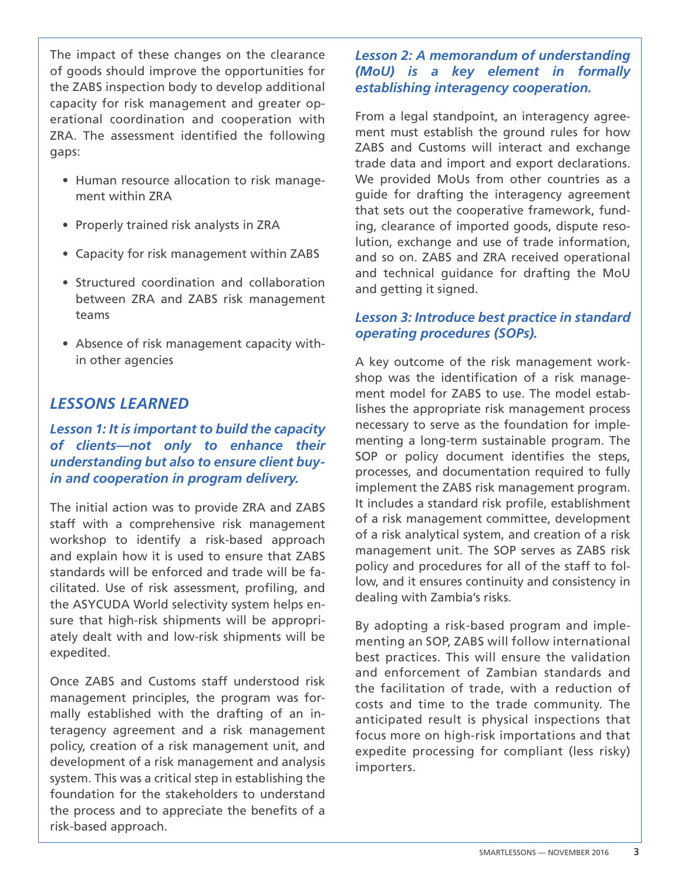The impact of these changes on the clearance of goods should improve the opportunities for the ZABS inspection body to develop additional capacity for risk management and greater operational coordination and cooperation with ZRA. The assessment identified the following gaps:

- Human resource allocation to risk management within ZRA
- Properly trained risk analysts in ZRA
- Capacity for risk management within ZABS
- Structured coordination and collaboration between ZRA and ZABS risk management teams
- Absence of risk management capacity within other agencies

# *LESSONS LEARNED*

# *Lesson 1: It is important to build the capacity of clients—not only to enhance their understanding but also to ensure client buyin and cooperation in program delivery.*

The initial action was to provide ZRA and ZABS staff with a comprehensive risk management workshop to identify a risk-based approach and explain how it is used to ensure that ZABS standards will be enforced and trade will be facilitated. Use of risk assessment, profiling, and the ASYCUDA World selectivity system helps ensure that high-risk shipments will be appropriately dealt with and low-risk shipments will be expedited.

Once ZABS and Customs staff understood risk management principles, the program was formally established with the drafting of an interagency agreement and a risk management policy, creation of a risk management unit, and development of a risk management and analysis system. This was a critical step in establishing the foundation for the stakeholders to understand the process and to appreciate the benefits of a risk-based approach.

# *Lesson 2: A memorandum of understanding (MoU) is a key element in formally establishing interagency cooperation.*

From a legal standpoint, an interagency agreement must establish the ground rules for how ZABS and Customs will interact and exchange trade data and import and export declarations. We provided MoUs from other countries as a guide for drafting the interagency agreement that sets out the cooperative framework, funding, clearance of imported goods, dispute resolution, exchange and use of trade information, and so on. ZABS and ZRA received operational and technical guidance for drafting the MoU and getting it signed.

## *Lesson 3: Introduce best practice in standard operating procedures (SOPs).*

A key outcome of the risk management workshop was the identification of a risk management model for ZABS to use. The model establishes the appropriate risk management process necessary to serve as the foundation for implementing a long-term sustainable program. The SOP or policy document identifies the steps, processes, and documentation required to fully implement the ZABS risk management program. It includes a standard risk profile, establishment of a risk management committee, development of a risk analytical system, and creation of a risk management unit. The SOP serves as ZABS risk policy and procedures for all of the staff to follow, and it ensures continuity and consistency in dealing with Zambia's risks.

By adopting a risk-based program and implementing an SOP, ZABS will follow international best practices. This will ensure the validation and enforcement of Zambian standards and the facilitation of trade, with a reduction of costs and time to the trade community. The anticipated result is physical inspections that focus more on high-risk importations and that expedite processing for compliant (less risky) importers.